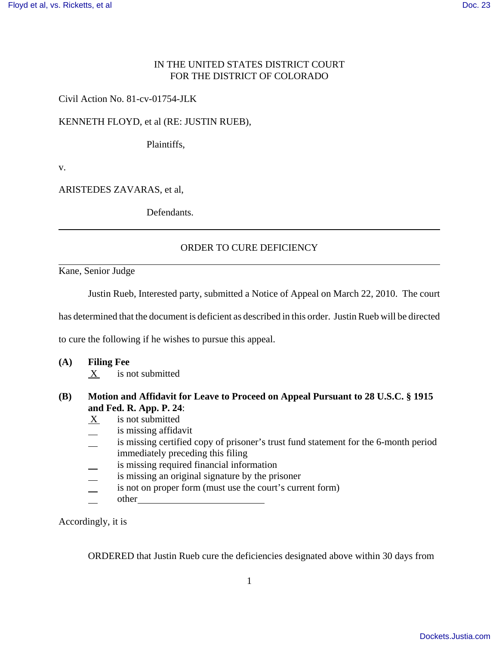## IN THE UNITED STATES DISTRICT COURT FOR THE DISTRICT OF COLORADO

Civil Action No. 81-cv-01754-JLK

KENNETH FLOYD, et al (RE: JUSTIN RUEB),

Plaintiffs,

v.

ARISTEDES ZAVARAS, et al,

Defendants.

## ORDER TO CURE DEFICIENCY

Kane, Senior Judge

Justin Rueb, Interested party, submitted a Notice of Appeal on March 22, 2010. The court

has determined that the document is deficient as described in this order. Justin Rueb will be directed

to cure the following if he wishes to pursue this appeal.

**(A) Filing Fee** 

X is not submitted

## **(B) Motion and Affidavit for Leave to Proceed on Appeal Pursuant to 28 U.S.C. § 1915 and Fed. R. App. P. 24**:

- $X$  is not submitted
- is missing affidavit
- is missing certified copy of prisoner's trust fund statement for the 6-month period immediately preceding this filing
- is missing required financial information
- is missing an original signature by the prisoner
- is not on proper form (must use the court's current form)
- other

Accordingly, it is

ORDERED that Justin Rueb cure the deficiencies designated above within 30 days from